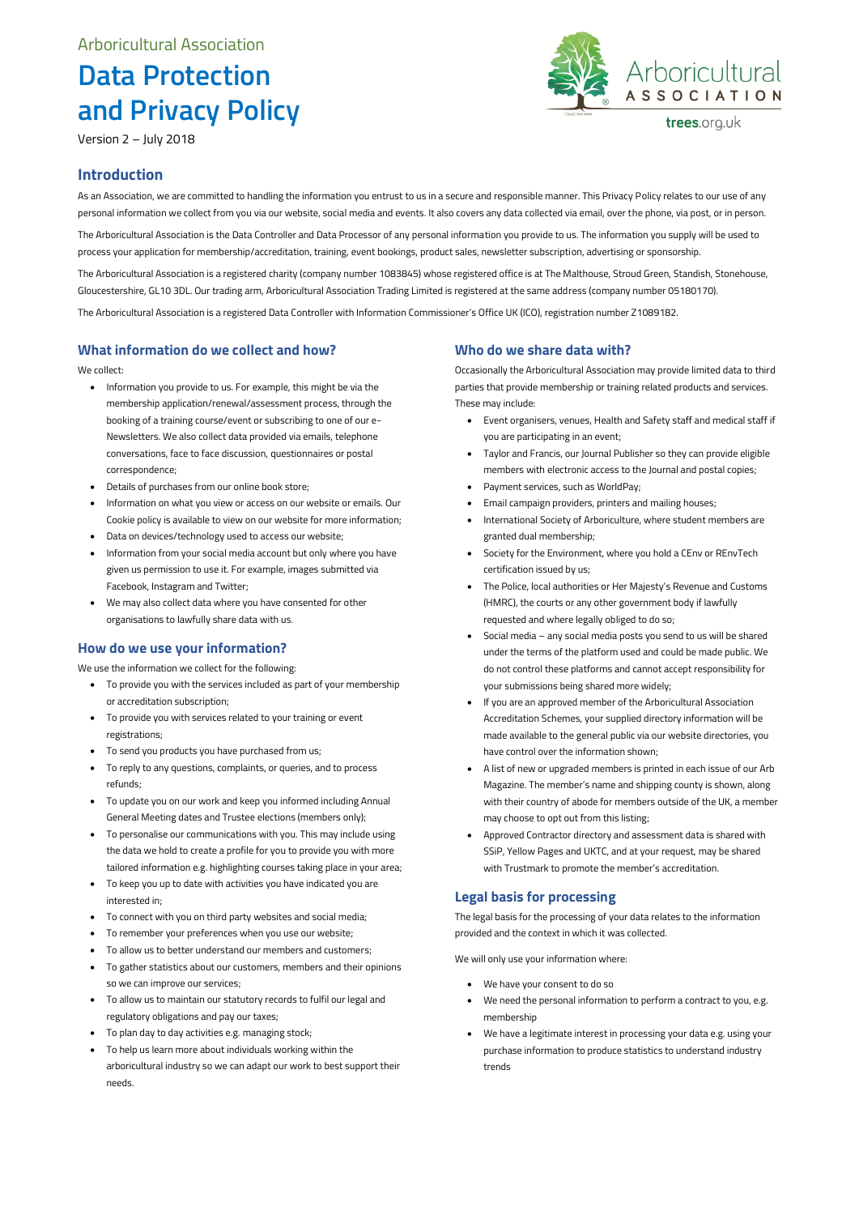# **Data Protection and Privacy Policy**

Version 2 – July 2018



trees.org.uk

### **Introduction**

As an Association, we are committed to handling the information you entrust to us in a secure and responsible manner. This Privacy Policy relates to our use of any personal information we collect from you via our website, social media and events. It also covers any data collected via email, over the phone, via post, or in person.

The Arboricultural Association is the Data Controller and Data Processor of any personal information you provide to us. The information you supply will be used to process your application for membership/accreditation, training, event bookings, product sales, newsletter subscription, advertising or sponsorship.

The Arboricultural Association is a registered charity (company number 1083845) whose registered office is at The Malthouse, Stroud Green, Standish, Stonehouse, Gloucestershire, GL10 3DL. Our trading arm, Arboricultural Association Trading Limited is registered at the same address (company number 05180170).

The Arboricultural Association is a registered Data Controller with Information Commissioner's Office UK (ICO), registration number Z1089182.

#### **What information do we collect and how?**

We collect:

- Information you provide to us. For example, this might be via the membership application/renewal/assessment process, through the booking of a training course/event or subscribing to one of our e-Newsletters. We also collect data provided via emails, telephone conversations, face to face discussion, questionnaires or postal correspondence;
- Details of purchases from our online book store;
- Information on what you view or access on our website or emails. Our Cookie policy is available to view on our website for more information;
- Data on devices/technology used to access our website;
- Information from your social media account but only where you have given us permission to use it. For example, images submitted via Facebook, Instagram and Twitter;
- We may also collect data where you have consented for other organisations to lawfully share data with us.

#### **How do we use your information?**

We use the information we collect for the following:

- To provide you with the services included as part of your membership or accreditation subscription;
- To provide you with services related to your training or event registrations;
- To send you products you have purchased from us;
- To reply to any questions, complaints, or queries, and to process refunds;
- To update you on our work and keep you informed including Annual General Meeting dates and Trustee elections (members only);
- To personalise our communications with you. This may include using the data we hold to create a profile for you to provide you with more tailored information e.g. highlighting courses taking place in your area;
- To keep you up to date with activities you have indicated you are interested in;
- To connect with you on third party websites and social media;
- To remember your preferences when you use our website;
- To allow us to better understand our members and customers;
- To gather statistics about our customers, members and their opinions so we can improve our services;
- To allow us to maintain our statutory records to fulfil our legal and regulatory obligations and pay our taxes;
- To plan day to day activities e.g. managing stock;
- To help us learn more about individuals working within the
- arboricultural industry so we can adapt our work to best support their needs.

#### **Who do we share data with?**

Occasionally the Arboricultural Association may provide limited data to third parties that provide membership or training related products and services. These may include:

- Event organisers, venues, Health and Safety staff and medical staff if you are participating in an event;
- Taylor and Francis, our Journal Publisher so they can provide eligible members with electronic access to the Journal and postal copies;
- Payment services, such as WorldPay;
- Email campaign providers, printers and mailing houses;
- International Society of Arboriculture, where student members are granted dual membership;
- Society for the Environment, where you hold a CEnv or REnvTech certification issued by us;
- The Police, local authorities or Her Majesty's Revenue and Customs (HMRC), the courts or any other government body if lawfully requested and where legally obliged to do so;
- Social media any social media posts you send to us will be shared under the terms of the platform used and could be made public. We do not control these platforms and cannot accept responsibility for your submissions being shared more widely;
- If you are an approved member of the Arboricultural Association Accreditation Schemes, your supplied directory information will be made available to the general public via our website directories, you have control over the information shown;
- A list of new or upgraded members is printed in each issue of our Arb Magazine. The member's name and shipping county is shown, along with their country of abode for members outside of the UK, a member may choose to opt out from this listing;
- Approved Contractor directory and assessment data is shared with SSiP, Yellow Pages and UKTC, and at your request, may be shared with Trustmark to promote the member's accreditation.

#### **Legal basis for processing**

The legal basis for the processing of your data relates to the information provided and the context in which it was collected.

We will only use your information where:

- We have your consent to do so
- We need the personal information to perform a contract to you, e.g. membership
- We have a legitimate interest in processing your data e.g. using your purchase information to produce statistics to understand industry trends